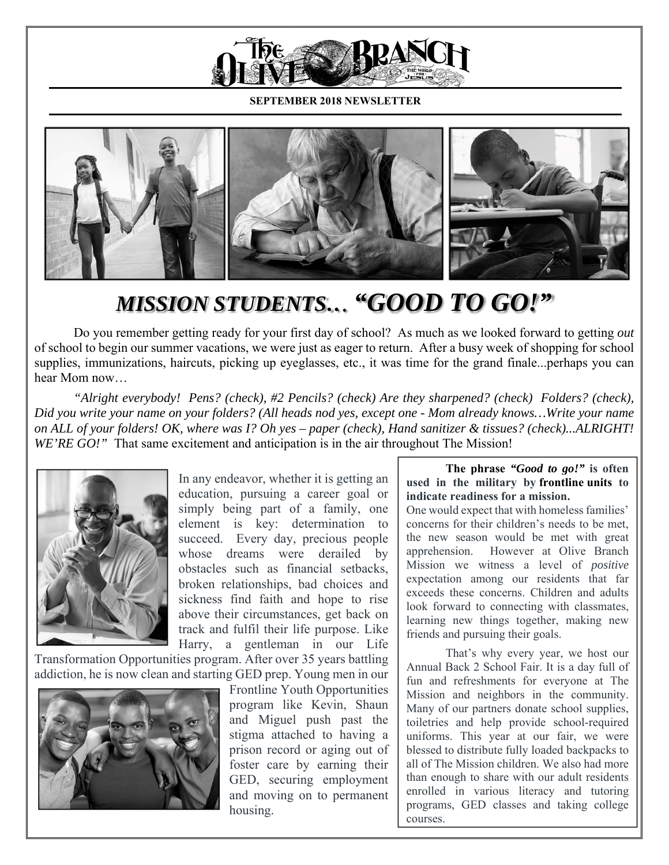

**SEPTEMBER 2018 NEWSLETTER**



## *MISSION STUDENTS… "GOOD TO GO!"*

Do you remember getting ready for your first day of school? As much as we looked forward to getting *out* of school to begin our summer vacations, we were just as eager to return. After a busy week of shopping for school supplies, immunizations, haircuts, picking up eyeglasses, etc., it was time for the grand finale...perhaps you can hear Mom now…

*"Alright everybody! Pens? (check), #2 Pencils? (check) Are they sharpened? (check) Folders? (check), Did you write your name on your folders? (All heads nod yes, except one - Mom already knows…Write your name on ALL of your folders! OK, where was I? Oh yes – paper (check), Hand sanitizer & tissues? (check)...ALRIGHT! WE'RE GO!*" That same excitement and anticipation is in the air throughout The Mission!



In any endeavor, whether it is getting an education, pursuing a career goal or simply being part of a family, one element is key: determination to succeed. Every day, precious people whose dreams were derailed by obstacles such as financial setbacks, broken relationships, bad choices and sickness find faith and hope to rise above their circumstances, get back on track and fulfil their life purpose. Like Harry, a gentleman in our Life

Transformation Opportunities program. After over 35 years battling addiction, he is now clean and starting GED prep. Young men in our



Frontline Youth Opportunities program like Kevin, Shaun and Miguel push past the stigma attached to having a prison record or aging out of foster care by earning their GED, securing employment and moving on to permanent housing.

## **The phrase** *"Good to go!"* **is often used in the military by frontline units to indicate readiness for a mission.**

One would expect that with homeless families' concerns for their children's needs to be met, the new season would be met with great apprehension. However at Olive Branch Mission we witness a level of *positive* expectation among our residents that far exceeds these concerns. Children and adults look forward to connecting with classmates, learning new things together, making new friends and pursuing their goals.

That's why every year, we host our Annual Back 2 School Fair. It is a day full of fun and refreshments for everyone at The Mission and neighbors in the community. Many of our partners donate school supplies, toiletries and help provide school-required uniforms. This year at our fair, we were blessed to distribute fully loaded backpacks to all of The Mission children. We also had more than enough to share with our adult residents enrolled in various literacy and tutoring programs, GED classes and taking college courses.